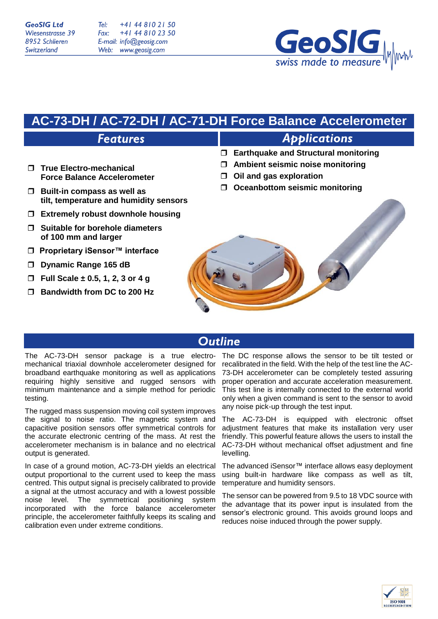**GeoSIG Ltd** Wiesenstrasse 39 8952 Schlieren Switzerland

Tel: +41 44 810 21 50 +41 44 810 23 50 Fax: E-mail: info@geosig.com Web: www.geosig.com



# **AC-73-DH / AC-72-DH / AC-71-DH Force Balance Accelerometer**

## **Features**

- **True Electro-mechanical Force Balance Accelerometer**
- **Built-in compass as well as tilt, temperature and humidity sensors**
- **Extremely robust downhole housing**
- **Suitable for borehole diameters of 100 mm and larger**
- **Proprietary iSensor™ interface**
- **Dynamic Range 165 dB**
- **Full Scale ± 0.5, 1, 2, 3 or 4 g**
- **Bandwidth from DC to 200 Hz**

# **Applications**

- **Earthquake and Structural monitoring**
- **Ambient seismic noise monitoring**
- **Oil and gas exploration**
- **Oceanbottom seismic monitoring**



## **Outline**

The AC-73-DH sensor package is a true electromechanical triaxial downhole accelerometer designed for broadband earthquake monitoring as well as applications requiring highly sensitive and rugged sensors with minimum maintenance and a simple method for periodic testing.

The rugged mass suspension moving coil system improves the signal to noise ratio. The magnetic system and capacitive position sensors offer symmetrical controls for the accurate electronic centring of the mass. At rest the accelerometer mechanism is in balance and no electrical output is generated.

In case of a ground motion, AC-73-DH yields an electrical output proportional to the current used to keep the mass centred. This output signal is precisely calibrated to provide a signal at the utmost accuracy and with a lowest possible noise level. The symmetrical positioning system incorporated with the force balance accelerometer principle, the accelerometer faithfully keeps its scaling and calibration even under extreme conditions.

The DC response allows the sensor to be tilt tested or recalibrated in the field. With the help of the test line the AC-73-DH accelerometer can be completely tested assuring proper operation and accurate acceleration measurement. This test line is internally connected to the external world only when a given command is sent to the sensor to avoid any noise pick-up through the test input.

The AC-73-DH is equipped with electronic offset adjustment features that make its installation very user friendly. This powerful feature allows the users to install the AC-73-DH without mechanical offset adjustment and fine levelling.

The advanced iSensor™ interface allows easy deployment using built-in hardware like compass as well as tilt, temperature and humidity sensors.

The sensor can be powered from 9.5 to 18 VDC source with the advantage that its power input is insulated from the sensor's electronic ground. This avoids ground loops and reduces noise induced through the power supply.